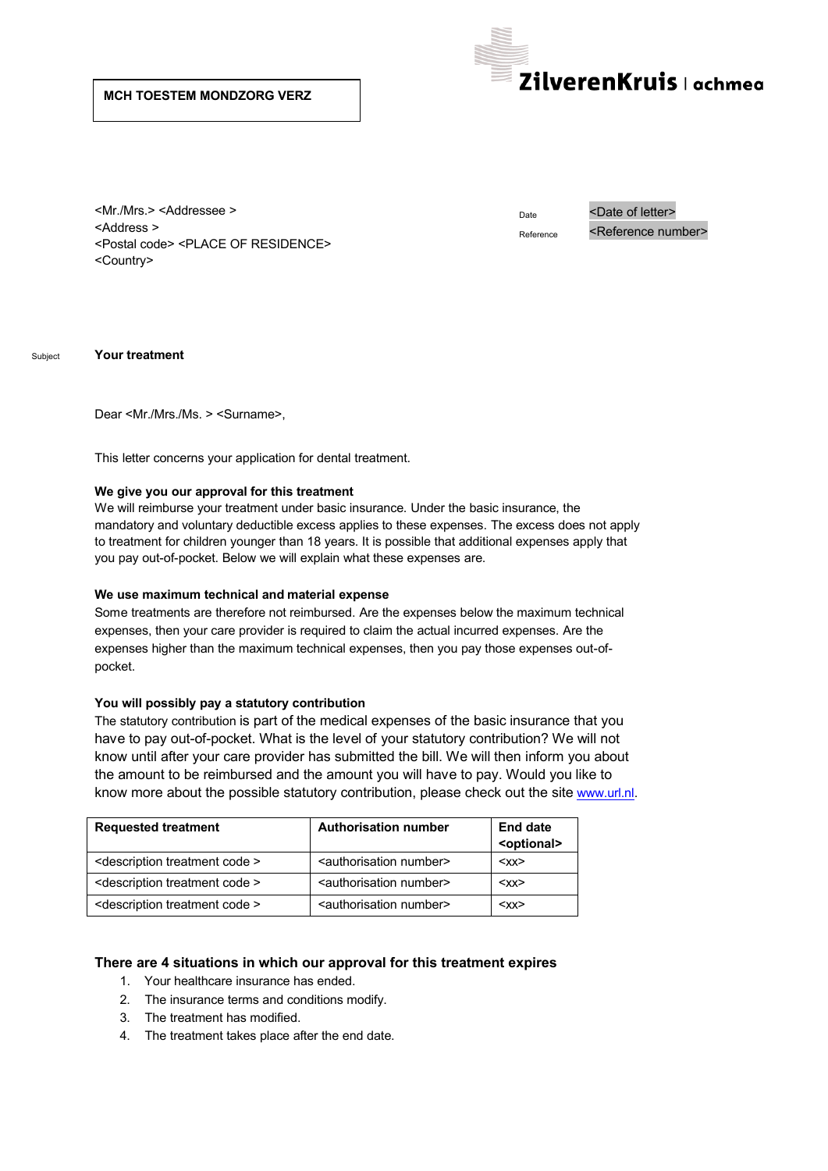# **MCH TOESTEM MONDZORG VERZ**



<Mr./Mrs.> <Addressee > <Address > <Postal code> <PLACE OF RESIDENCE> <Country>

Date <Date of letter> Reference <Reference number>

Subject **Your treatment**

Dear <Mr./Mrs./Ms. > <Surname>,

This letter concerns your application for dental treatment.

### **We give you our approval for this treatment**

We will reimburse your treatment under basic insurance. Under the basic insurance, the mandatory and voluntary deductible excess applies to these expenses. The excess does not apply to treatment for children younger than 18 years. It is possible that additional expenses apply that you pay out-of-pocket. Below we will explain what these expenses are.

#### **We use maximum technical and material expense**

Some treatments are therefore not reimbursed. Are the expenses below the maximum technical expenses, then your care provider is required to claim the actual incurred expenses. Are the expenses higher than the maximum technical expenses, then you pay those expenses out-ofpocket.

#### **You will possibly pay a statutory contribution**

The statutory contribution is part of the medical expenses of the basic insurance that you have to pay out-of-pocket. What is the level of your statutory contribution? We will not know until after your care provider has submitted the bill. We will then inform you about the amount to be reimbursed and the amount you will have to pay. Would you like to know more about the possible statutory contribution, please check out the site www.url.nl.

| <b>Requested treatment</b>                       | <b>Authorisation number</b>               | End date<br><optional></optional> |
|--------------------------------------------------|-------------------------------------------|-----------------------------------|
| <description code="" treatment=""></description> | <authorisation number=""></authorisation> | $<$ XX $>$                        |
| <description code="" treatment=""></description> | <authorisation number=""></authorisation> | $<$ XX $>$                        |
| <description code="" treatment=""></description> | <authorisation number=""></authorisation> | $<$ XX $>$                        |

## **There are 4 situations in which our approval for this treatment expires**

- 1. Your healthcare insurance has ended.
- 2. The insurance terms and conditions modify.
- 3. The treatment has modified.
- 4. The treatment takes place after the end date.